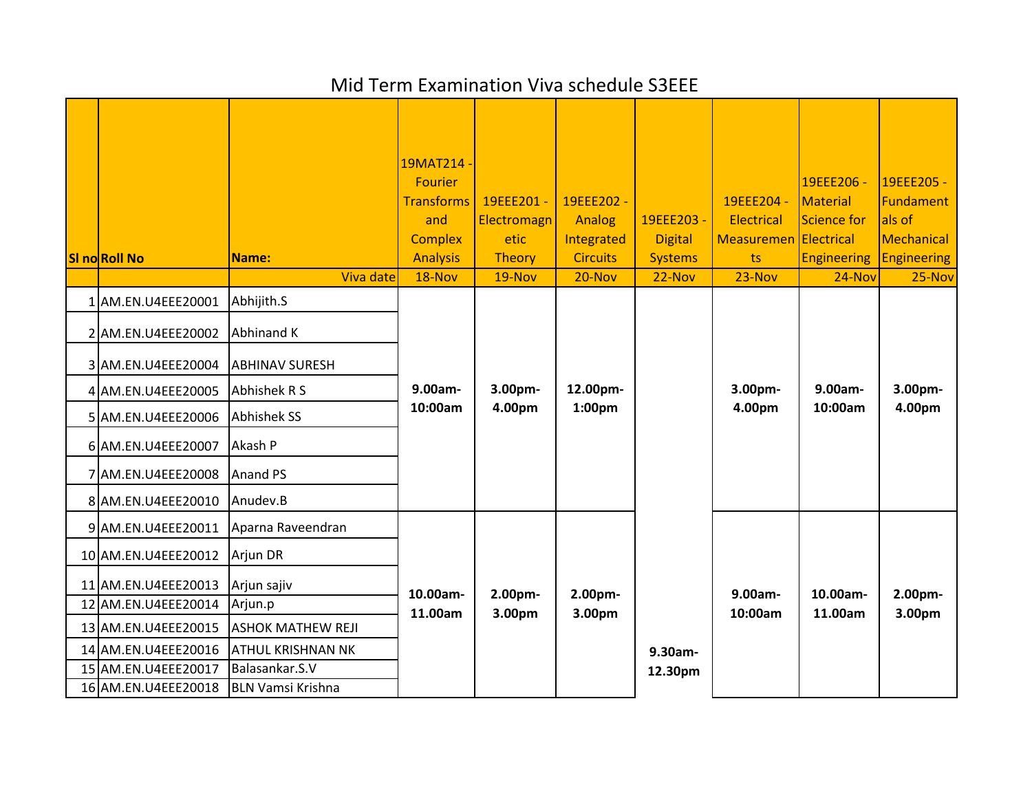## Mid Term Examination Viva schedule S3EEE

| <b>SI no Roll No</b> | Name:<br>Viva date       | 19MAT214<br><b>Fourier</b><br><b>Transforms</b><br>and<br><b>Complex</b><br><b>Analysis</b><br>18-Nov | 19EEE201-<br>Electromagn<br>etic<br>Theory<br>19-Nov | 19EEE202 -<br>Analog<br>Integrated<br><b>Circuits</b><br>20-Nov | 19EEE203 -<br><b>Digital</b><br><b>Systems</b><br>$22-Nov$ | 19EEE204 -<br>Electrical<br>Measuremen Electrical<br>ts<br>$23-Nov$ | 19EEE206 -<br>Material<br>Science for<br><b>Engineering</b><br>24-Nov | 19EEE205 -<br>Fundament<br>als of<br>Mechanical<br><b>Engineering</b><br>25-Nov |
|----------------------|--------------------------|-------------------------------------------------------------------------------------------------------|------------------------------------------------------|-----------------------------------------------------------------|------------------------------------------------------------|---------------------------------------------------------------------|-----------------------------------------------------------------------|---------------------------------------------------------------------------------|
| 1 AM.EN.U4EEE20001   | Abhijith.S               |                                                                                                       | 3.00pm-<br>4.00pm                                    | 12.00pm-<br>1:00 <sub>pm</sub>                                  |                                                            |                                                                     |                                                                       |                                                                                 |
| 2 AM.EN.U4EEE20002   | <b>Abhinand K</b>        |                                                                                                       |                                                      |                                                                 |                                                            |                                                                     |                                                                       |                                                                                 |
| 3 AM.EN.U4EEE20004   | <b>ABHINAV SURESH</b>    | 9.00am-<br>10:00am                                                                                    |                                                      |                                                                 |                                                            |                                                                     |                                                                       |                                                                                 |
| 4 AM.EN.U4EEE20005   | Abhishek R S             |                                                                                                       |                                                      |                                                                 |                                                            | 3.00pm-                                                             | 9.00am-                                                               | 3.00pm-                                                                         |
| 5 AM.EN.U4EEE20006   | <b>Abhishek SS</b>       |                                                                                                       |                                                      |                                                                 |                                                            | 4.00pm                                                              | 10:00am                                                               | 4.00pm                                                                          |
| 6 AM.EN.U4EEE20007   | Akash P                  |                                                                                                       |                                                      |                                                                 |                                                            |                                                                     |                                                                       |                                                                                 |
| 7 AM.EN.U4EEE20008   | Anand PS                 |                                                                                                       |                                                      |                                                                 |                                                            |                                                                     |                                                                       |                                                                                 |
| 8 AM.EN.U4EEE20010   | Anudev.B                 |                                                                                                       |                                                      |                                                                 |                                                            |                                                                     |                                                                       |                                                                                 |
| 9 AM.EN.U4EEE20011   | Aparna Raveendran        | 10.00am-<br>11.00am                                                                                   | 2.00pm-                                              | 2.00pm-                                                         |                                                            | 9.00am-                                                             | 10.00am-                                                              | 2.00pm-                                                                         |
| 10 AM.EN.U4EEE20012  | Arjun DR                 |                                                                                                       |                                                      |                                                                 |                                                            |                                                                     |                                                                       |                                                                                 |
| 11 AM.EN.U4EEE20013  | Arjun sajiv              |                                                                                                       |                                                      |                                                                 |                                                            |                                                                     |                                                                       |                                                                                 |
| 12 AM.EN.U4EEE20014  | Arjun.p                  |                                                                                                       | 3.00pm                                               | 3.00pm                                                          |                                                            | 10:00am                                                             | 11.00am                                                               | 3.00pm                                                                          |
| 13 AM.EN.U4EEE20015  | <b>ASHOK MATHEW REJI</b> |                                                                                                       |                                                      |                                                                 |                                                            |                                                                     |                                                                       |                                                                                 |
| 14 AM.EN.U4EEE20016  | <b>ATHUL KRISHNAN NK</b> |                                                                                                       |                                                      |                                                                 | 9.30am-                                                    |                                                                     |                                                                       |                                                                                 |
| 15 AM.EN.U4EEE20017  | Balasankar.S.V           |                                                                                                       |                                                      |                                                                 | 12.30pm                                                    |                                                                     |                                                                       |                                                                                 |
| 16 AM.EN.U4EEE20018  | <b>BLN Vamsi Krishna</b> |                                                                                                       |                                                      |                                                                 |                                                            |                                                                     |                                                                       |                                                                                 |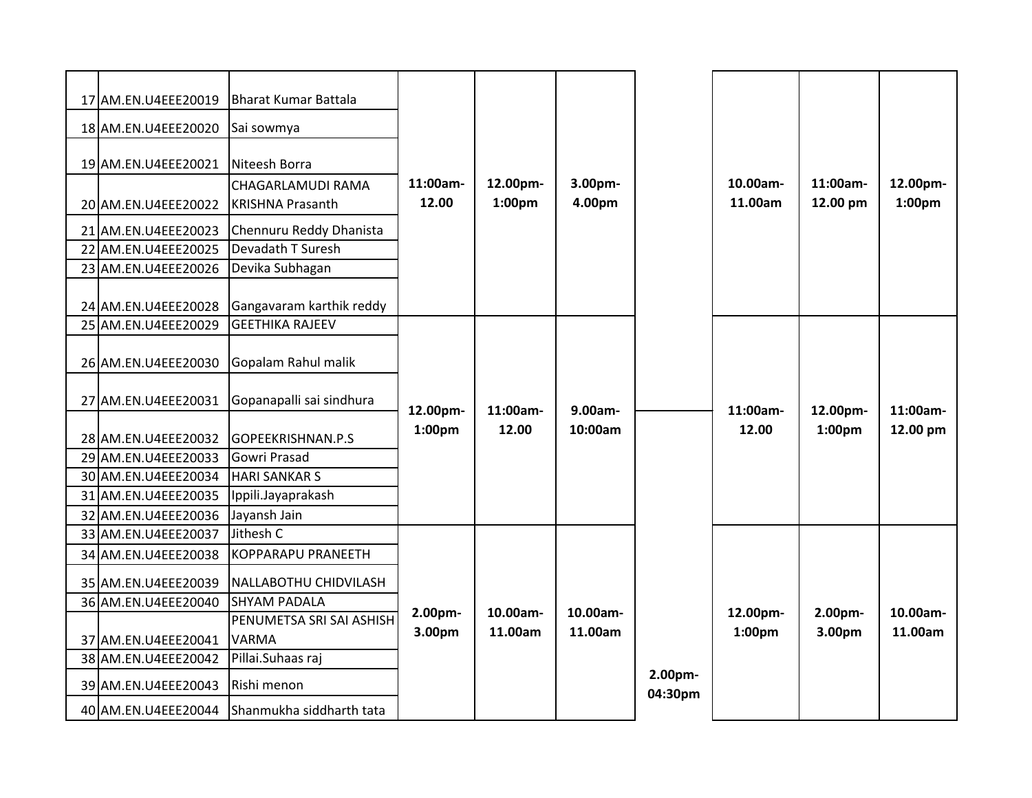| 17 AM.EN.U4EEE20019<br>18 AM.EN.U4EEE20020<br>19 AM.EN.U4EEE20021<br>20 AM.EN.U4EEE20022<br>21 AM.EN.U4EEE20023<br>22 AM.EN.U4EEE20025<br>23 AM.EN.U4EEE20026 | <b>Bharat Kumar Battala</b><br>Sai sowmya<br>Niteesh Borra<br>CHAGARLAMUDI RAMA<br><b>KRISHNA Prasanth</b><br>Chennuru Reddy Dhanista<br>Devadath T Suresh<br>Devika Subhagan | 11:00am-<br>12.00              | 12.00pm-<br>1:00 <sub>pm</sub> | 3.00pm-<br>4.00pm   |                    | 10.00am-<br>11.00am            | 11:00am-<br>12.00 pm           | 12.00pm-<br>1:00pm   |
|---------------------------------------------------------------------------------------------------------------------------------------------------------------|-------------------------------------------------------------------------------------------------------------------------------------------------------------------------------|--------------------------------|--------------------------------|---------------------|--------------------|--------------------------------|--------------------------------|----------------------|
| 24 AM.EN.U4EEE20028<br>25 AM.EN.U4EEE20029                                                                                                                    | Gangavaram karthik reddy<br><b>GEETHIKA RAJEEV</b>                                                                                                                            |                                |                                |                     |                    |                                |                                |                      |
| 26 AM.EN.U4EEE20030                                                                                                                                           | Gopalam Rahul malik                                                                                                                                                           | 12.00pm-<br>1:00 <sub>pm</sub> | 11:00am-<br>12.00              | 9.00am-<br>10:00am  |                    |                                |                                |                      |
| 27 AM.EN.U4EEE20031<br>28 AM.EN.U4EEE20032<br>29 AM.EN.U4EEE20033<br>30 AM.EN.U4EEE20034                                                                      | Gopanapalli sai sindhura<br>GOPEEKRISHNAN.P.S<br>Gowri Prasad<br><b>HARI SANKAR S</b>                                                                                         |                                |                                |                     |                    | 11:00am-<br>12.00              | 12.00pm-<br>1:00 <sub>pm</sub> | 11:00am-<br>12.00 pm |
| 31 AM.EN.U4EEE20035<br>32 AM.EN.U4EEE20036                                                                                                                    | Ippili.Jayaprakash<br>Jayansh Jain                                                                                                                                            |                                |                                |                     |                    |                                |                                |                      |
| 33 AM.EN.U4EEE20037<br>34 AM.EN.U4EEE20038                                                                                                                    | Jithesh C<br><b>KOPPARAPU PRANEETH</b>                                                                                                                                        | 2.00pm-<br>3.00pm              | 10.00am-<br>11.00am            | 10.00am-<br>11.00am |                    |                                |                                |                      |
| 35 AM.EN.U4EEE20039<br>36 AM.EN.U4EEE20040                                                                                                                    | NALLABOTHU CHIDVILASH<br><b>SHYAM PADALA</b>                                                                                                                                  |                                |                                |                     |                    | 12.00pm-<br>1:00 <sub>pm</sub> | 2.00pm-<br>3.00pm              | 10.00am-<br>11.00am  |
| 37 AM.EN.U4EEE20041<br>38 AM.EN.U4EEE20042                                                                                                                    | PENUMETSA SRI SAI ASHISH<br><b>VARMA</b><br>Pillai. Suhaas raj                                                                                                                |                                |                                |                     |                    |                                |                                |                      |
| 39 AM.EN.U4EEE20043                                                                                                                                           | Rishi menon                                                                                                                                                                   |                                |                                |                     | 2.00pm-<br>04:30pm |                                |                                |                      |
| 40 AM.EN.U4EEE20044                                                                                                                                           | Shanmukha siddharth tata                                                                                                                                                      |                                |                                |                     |                    |                                |                                |                      |